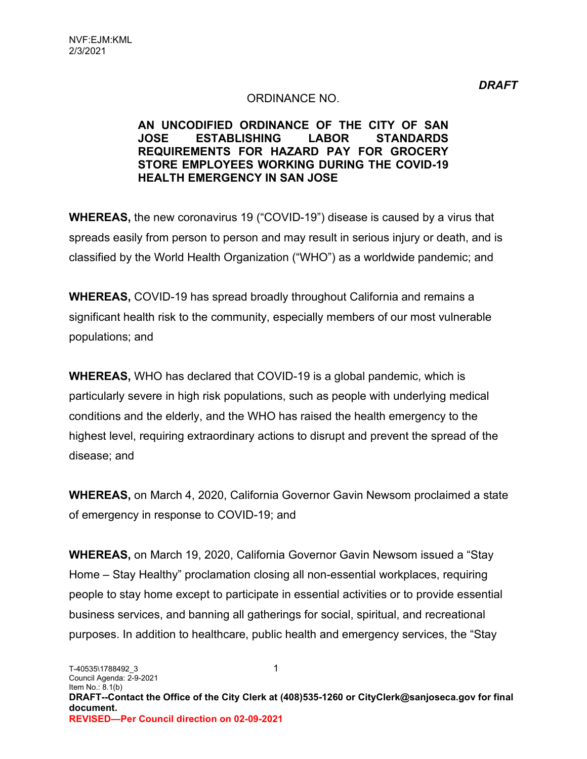#### ORDINANCE NO.

#### **AN UNCODIFIED ORDINANCE OF THE CITY OF SAN JOSE ESTABLISHING LABOR STANDARDS REQUIREMENTS FOR HAZARD PAY FOR GROCERY STORE EMPLOYEES WORKING DURING THE COVID-19 HEALTH EMERGENCY IN SAN JOSE**

**WHEREAS,** the new coronavirus 19 ("COVID-19") disease is caused by a virus that spreads easily from person to person and may result in serious injury or death, and is classified by the World Health Organization ("WHO") as a worldwide pandemic; and

**WHEREAS,** COVID-19 has spread broadly throughout California and remains a significant health risk to the community, especially members of our most vulnerable populations; and

**WHEREAS,** WHO has declared that COVID-19 is a global pandemic, which is particularly severe in high risk populations, such as people with underlying medical conditions and the elderly, and the WHO has raised the health emergency to the highest level, requiring extraordinary actions to disrupt and prevent the spread of the disease; and

**WHEREAS,** on March 4, 2020, California Governor Gavin Newsom proclaimed a state of emergency in response to COVID-19; and

**WHEREAS,** on March 19, 2020, California Governor Gavin Newsom issued a "Stay Home – Stay Healthy" proclamation closing all non-essential workplaces, requiring people to stay home except to participate in essential activities or to provide essential business services, and banning all gatherings for social, spiritual, and recreational purposes. In addition to healthcare, public health and emergency services, the "Stay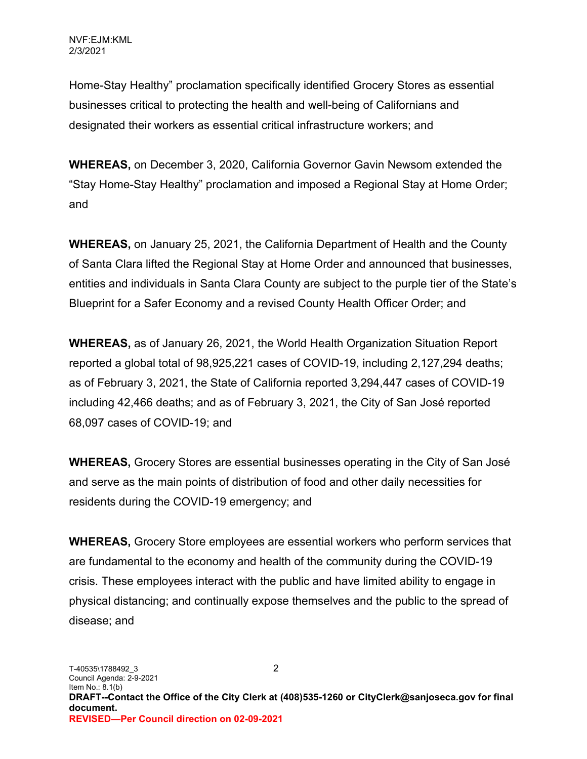Home-Stay Healthy" proclamation specifically identified Grocery Stores as essential businesses critical to protecting the health and well-being of Californians and designated their workers as essential critical infrastructure workers; and

**WHEREAS,** on December 3, 2020, California Governor Gavin Newsom extended the "Stay Home-Stay Healthy" proclamation and imposed a Regional Stay at Home Order; and

**WHEREAS,** on January 25, 2021, the California Department of Health and the County of Santa Clara lifted the Regional Stay at Home Order and announced that businesses, entities and individuals in Santa Clara County are subject to the purple tier of the State's Blueprint for a Safer Economy and a revised County Health Officer Order; and

**WHEREAS,** as of January 26, 2021, the World Health Organization Situation Report reported a global total of 98,925,221 cases of COVID-19, including 2,127,294 deaths; as of February 3, 2021, the State of California reported 3,294,447 cases of COVID-19 including 42,466 deaths; and as of February 3, 2021, the City of San José reported 68,097 cases of COVID-19; and

**WHEREAS,** Grocery Stores are essential businesses operating in the City of San José and serve as the main points of distribution of food and other daily necessities for residents during the COVID-19 emergency; and

**WHEREAS,** Grocery Store employees are essential workers who perform services that are fundamental to the economy and health of the community during the COVID-19 crisis. These employees interact with the public and have limited ability to engage in physical distancing; and continually expose themselves and the public to the spread of disease; and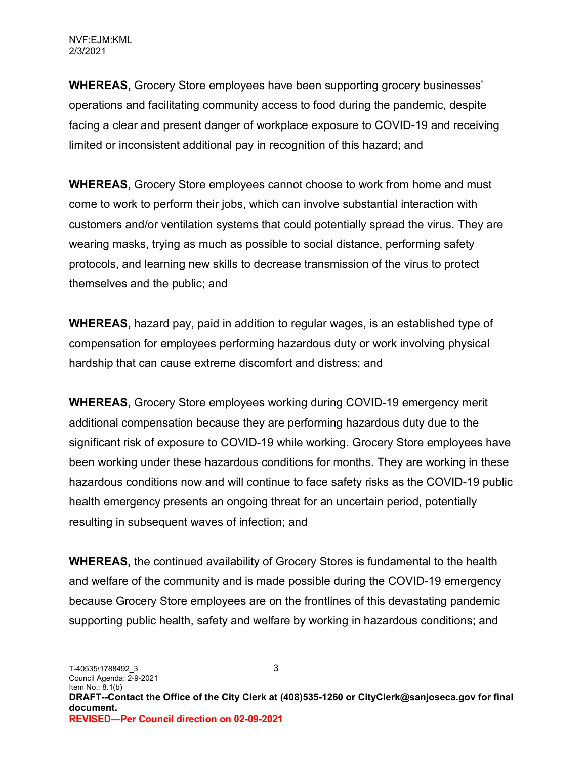**WHEREAS,** Grocery Store employees have been supporting grocery businesses' operations and facilitating community access to food during the pandemic, despite facing a clear and present danger of workplace exposure to COVID-19 and receiving limited or inconsistent additional pay in recognition of this hazard; and

**WHEREAS,** Grocery Store employees cannot choose to work from home and must come to work to perform their jobs, which can involve substantial interaction with customers and/or ventilation systems that could potentially spread the virus. They are wearing masks, trying as much as possible to social distance, performing safety protocols, and learning new skills to decrease transmission of the virus to protect themselves and the public; and

**WHEREAS,** hazard pay, paid in addition to regular wages, is an established type of compensation for employees performing hazardous duty or work involving physical hardship that can cause extreme discomfort and distress; and

**WHEREAS,** Grocery Store employees working during COVID-19 emergency merit additional compensation because they are performing hazardous duty due to the significant risk of exposure to COVID-19 while working. Grocery Store employees have been working under these hazardous conditions for months. They are working in these hazardous conditions now and will continue to face safety risks as the COVID-19 public health emergency presents an ongoing threat for an uncertain period, potentially resulting in subsequent waves of infection; and

**WHEREAS,** the continued availability of Grocery Stores is fundamental to the health and welfare of the community and is made possible during the COVID-19 emergency because Grocery Store employees are on the frontlines of this devastating pandemic supporting public health, safety and welfare by working in hazardous conditions; and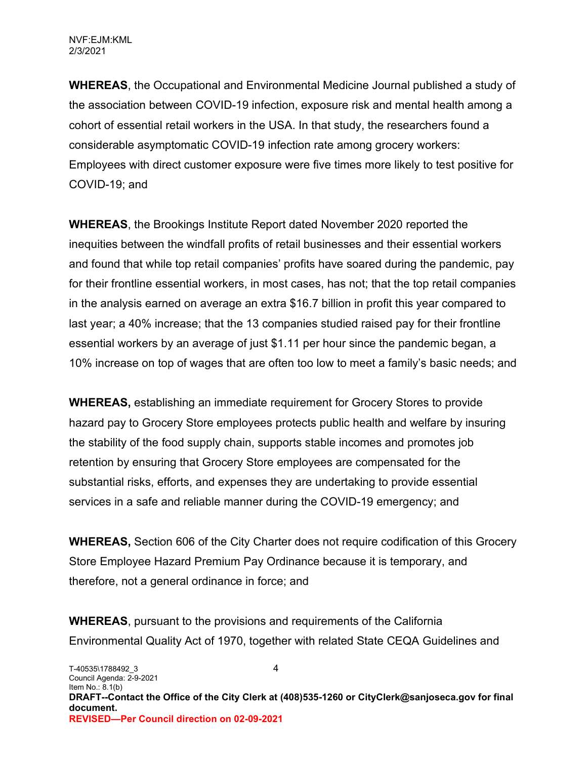**WHEREAS**, the Occupational and Environmental Medicine Journal published a study of the association between COVID-19 infection, exposure risk and mental health among a cohort of essential retail workers in the USA. In that study, the researchers found a considerable asymptomatic COVID-19 infection rate among grocery workers: Employees with direct customer exposure were five times more likely to test positive for COVID-19; and

**WHEREAS**, the Brookings Institute Report dated November 2020 reported the inequities between the windfall profits of retail businesses and their essential workers and found that while top retail companies' profits have soared during the pandemic, pay for their frontline essential workers, in most cases, has not; that the top retail companies in the analysis earned on average an extra \$16.7 billion in profit this year compared to last year; a 40% increase; that the 13 companies studied raised pay for their frontline essential workers by an average of just \$1.11 per hour since the pandemic began, a 10% increase on top of wages that are often too low to meet a family's basic needs; and

**WHEREAS,** establishing an immediate requirement for Grocery Stores to provide hazard pay to Grocery Store employees protects public health and welfare by insuring the stability of the food supply chain, supports stable incomes and promotes job retention by ensuring that Grocery Store employees are compensated for the substantial risks, efforts, and expenses they are undertaking to provide essential services in a safe and reliable manner during the COVID-19 emergency; and

**WHEREAS,** Section 606 of the City Charter does not require codification of this Grocery Store Employee Hazard Premium Pay Ordinance because it is temporary, and therefore, not a general ordinance in force; and

**WHEREAS**, pursuant to the provisions and requirements of the California Environmental Quality Act of 1970, together with related State CEQA Guidelines and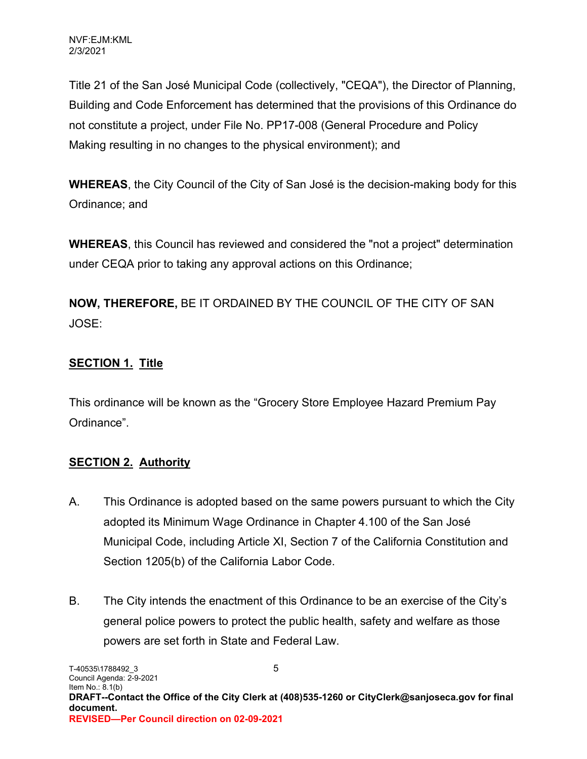Title 21 of the San José Municipal Code (collectively, "CEQA"), the Director of Planning, Building and Code Enforcement has determined that the provisions of this Ordinance do not constitute a project, under File No. PP17-008 (General Procedure and Policy Making resulting in no changes to the physical environment); and

**WHEREAS**, the City Council of the City of San José is the decision-making body for this Ordinance; and

**WHEREAS**, this Council has reviewed and considered the "not a project" determination under CEQA prior to taking any approval actions on this Ordinance;

**NOW, THEREFORE,** BE IT ORDAINED BY THE COUNCIL OF THE CITY OF SAN JOSE:

# **SECTION 1. Title**

This ordinance will be known as the "Grocery Store Employee Hazard Premium Pay Ordinance".

# **SECTION 2. Authority**

- A. This Ordinance is adopted based on the same powers pursuant to which the City adopted its Minimum Wage Ordinance in Chapter 4.100 of the San José Municipal Code, including Article XI, Section 7 of the California Constitution and Section 1205(b) of the California Labor Code.
- B. The City intends the enactment of this Ordinance to be an exercise of the City's general police powers to protect the public health, safety and welfare as those powers are set forth in State and Federal Law.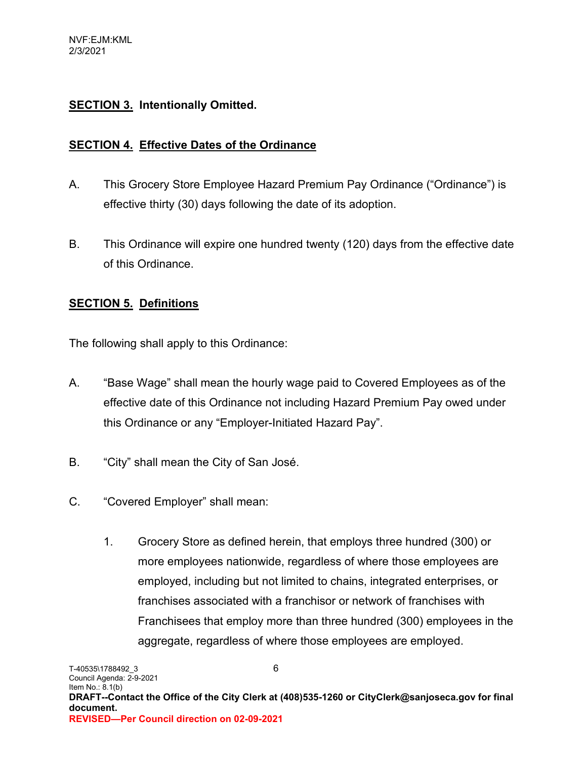## **SECTION 3. Intentionally Omitted.**

#### **SECTION 4. Effective Dates of the Ordinance**

- A. This Grocery Store Employee Hazard Premium Pay Ordinance ("Ordinance") is effective thirty (30) days following the date of its adoption.
- B. This Ordinance will expire one hundred twenty (120) days from the effective date of this Ordinance.

#### **SECTION 5. Definitions**

The following shall apply to this Ordinance:

- A. "Base Wage" shall mean the hourly wage paid to Covered Employees as of the effective date of this Ordinance not including Hazard Premium Pay owed under this Ordinance or any "Employer-Initiated Hazard Pay".
- B. "City" shall mean the City of San José.
- C. "Covered Employer" shall mean:
	- 1. Grocery Store as defined herein, that employs three hundred (300) or more employees nationwide, regardless of where those employees are employed, including but not limited to chains, integrated enterprises, or franchises associated with a franchisor or network of franchises with Franchisees that employ more than three hundred (300) employees in the aggregate, regardless of where those employees are employed.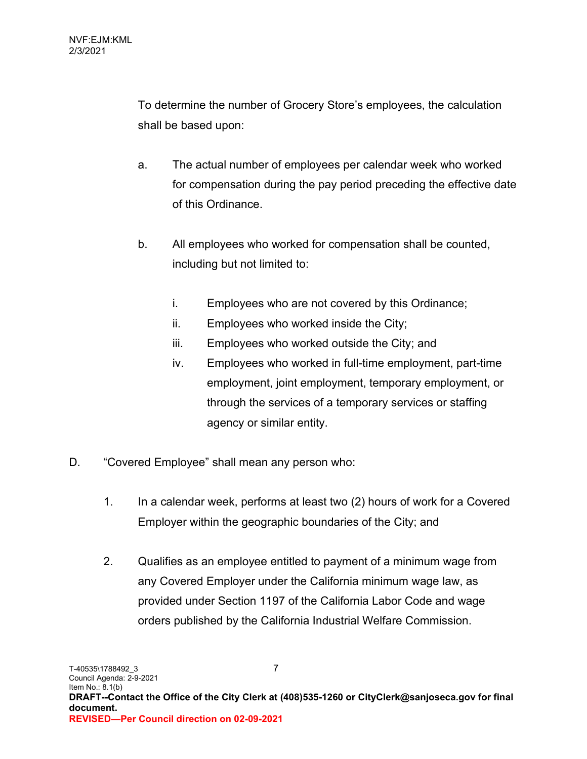To determine the number of Grocery Store's employees, the calculation shall be based upon:

- a. The actual number of employees per calendar week who worked for compensation during the pay period preceding the effective date of this Ordinance.
- b. All employees who worked for compensation shall be counted, including but not limited to:
	- i. Employees who are not covered by this Ordinance;
	- ii. Employees who worked inside the City;
	- iii. Employees who worked outside the City; and
	- iv. Employees who worked in full-time employment, part-time employment, joint employment, temporary employment, or through the services of a temporary services or staffing agency or similar entity.
- D. "Covered Employee" shall mean any person who:
	- 1. In a calendar week, performs at least two (2) hours of work for a Covered Employer within the geographic boundaries of the City; and
	- 2. Qualifies as an employee entitled to payment of a minimum wage from any Covered Employer under the California minimum wage law, as provided under Section 1197 of the California Labor Code and wage orders published by the California Industrial Welfare Commission.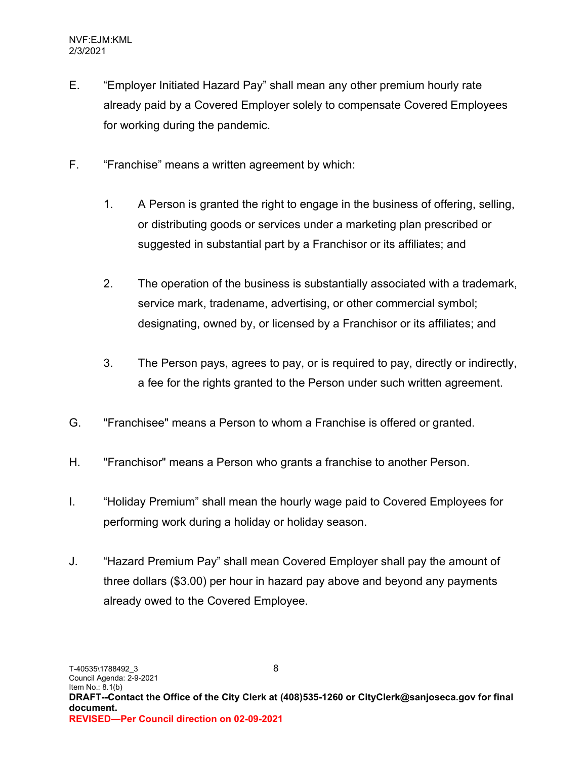- E. "Employer Initiated Hazard Pay" shall mean any other premium hourly rate already paid by a Covered Employer solely to compensate Covered Employees for working during the pandemic.
- F. "Franchise" means a written agreement by which:
	- 1. A Person is granted the right to engage in the business of offering, selling, or distributing goods or services under a marketing plan prescribed or suggested in substantial part by a Franchisor or its affiliates; and
	- 2. The operation of the business is substantially associated with a trademark, service mark, tradename, advertising, or other commercial symbol; designating, owned by, or licensed by a Franchisor or its affiliates; and
	- 3. The Person pays, agrees to pay, or is required to pay, directly or indirectly, a fee for the rights granted to the Person under such written agreement.
- G. "Franchisee" means a Person to whom a Franchise is offered or granted.
- H. "Franchisor" means a Person who grants a franchise to another Person.
- I. "Holiday Premium" shall mean the hourly wage paid to Covered Employees for performing work during a holiday or holiday season.
- J. "Hazard Premium Pay" shall mean Covered Employer shall pay the amount of three dollars (\$3.00) per hour in hazard pay above and beyond any payments already owed to the Covered Employee.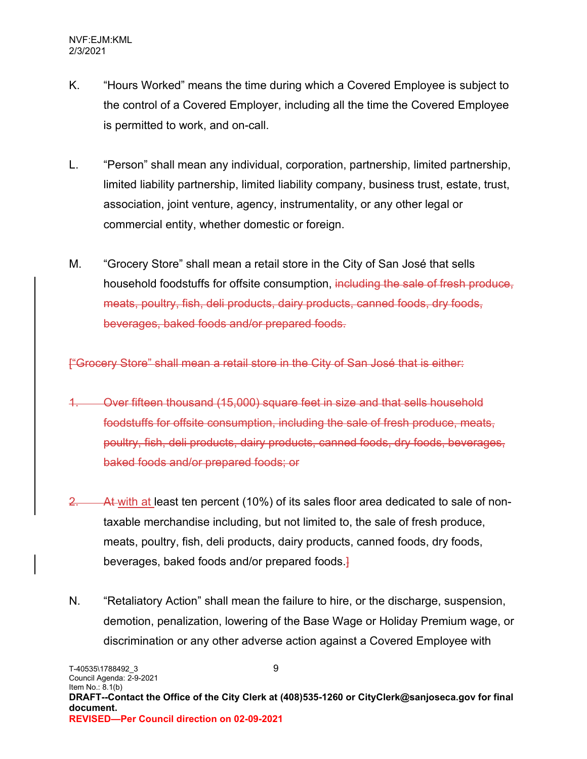- K. "Hours Worked" means the time during which a Covered Employee is subject to the control of a Covered Employer, including all the time the Covered Employee is permitted to work, and on-call.
- L. "Person" shall mean any individual, corporation, partnership, limited partnership, limited liability partnership, limited liability company, business trust, estate, trust, association, joint venture, agency, instrumentality, or any other legal or commercial entity, whether domestic or foreign.
- M. "Grocery Store" shall mean a retail store in the City of San José that sells household foodstuffs for offsite consumption, including the sale of fresh produce, meats, poultry, fish, deli products, dairy products, canned foods, dry foods, beverages, baked foods and/or prepared foods.

["Grocery Store" shall mean a retail store in the City of San José that is either:

- 1. Over fifteen thousand (15,000) square feet in size and that sells household foodstuffs for offsite consumption, including the sale of fresh produce, meats, poultry, fish, deli products, dairy products, canned foods, dry foods, beverages, baked foods and/or prepared foods; or
- 2. At with at least ten percent (10%) of its sales floor area dedicated to sale of nontaxable merchandise including, but not limited to, the sale of fresh produce, meats, poultry, fish, deli products, dairy products, canned foods, dry foods, beverages, baked foods and/or prepared foods.]
- N. "Retaliatory Action" shall mean the failure to hire, or the discharge, suspension, demotion, penalization, lowering of the Base Wage or Holiday Premium wage, or discrimination or any other adverse action against a Covered Employee with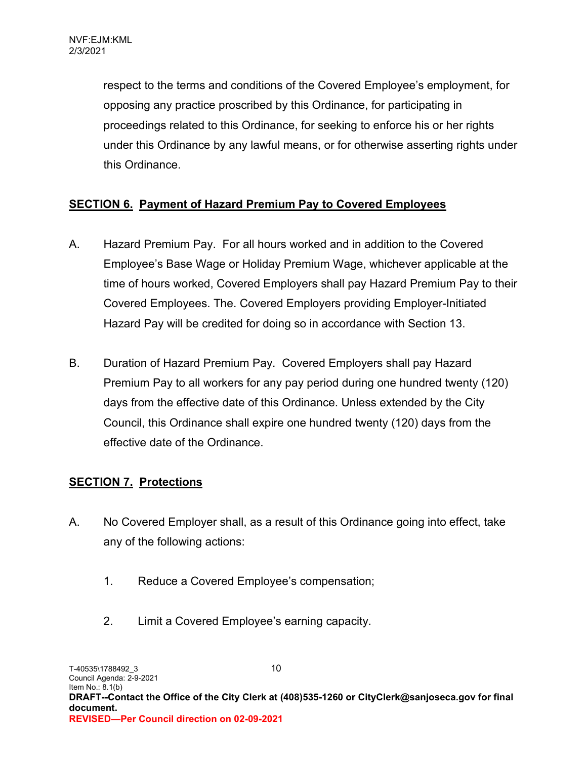respect to the terms and conditions of the Covered Employee's employment, for opposing any practice proscribed by this Ordinance, for participating in proceedings related to this Ordinance, for seeking to enforce his or her rights under this Ordinance by any lawful means, or for otherwise asserting rights under this Ordinance.

## **SECTION 6. Payment of Hazard Premium Pay to Covered Employees**

- A. Hazard Premium Pay. For all hours worked and in addition to the Covered Employee's Base Wage or Holiday Premium Wage, whichever applicable at the time of hours worked, Covered Employers shall pay Hazard Premium Pay to their Covered Employees. The. Covered Employers providing Employer-Initiated Hazard Pay will be credited for doing so in accordance with Section 13.
- B. Duration of Hazard Premium Pay. Covered Employers shall pay Hazard Premium Pay to all workers for any pay period during one hundred twenty (120) days from the effective date of this Ordinance. Unless extended by the City Council, this Ordinance shall expire one hundred twenty (120) days from the effective date of the Ordinance.

# **SECTION 7. Protections**

- A. No Covered Employer shall, as a result of this Ordinance going into effect, take any of the following actions:
	- 1. Reduce a Covered Employee's compensation;
	- 2. Limit a Covered Employee's earning capacity.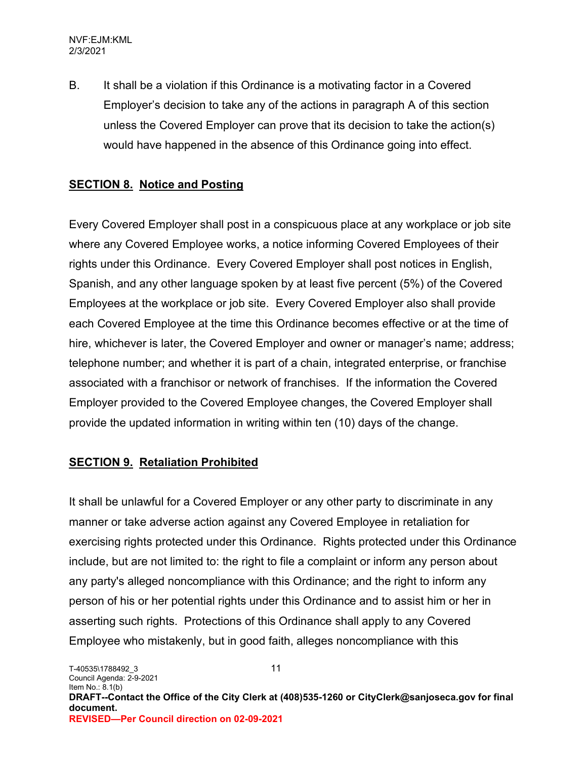B. It shall be a violation if this Ordinance is a motivating factor in a Covered Employer's decision to take any of the actions in paragraph A of this section unless the Covered Employer can prove that its decision to take the action(s) would have happened in the absence of this Ordinance going into effect.

#### **SECTION 8. Notice and Posting**

Every Covered Employer shall post in a conspicuous place at any workplace or job site where any Covered Employee works, a notice informing Covered Employees of their rights under this Ordinance. Every Covered Employer shall post notices in English, Spanish, and any other language spoken by at least five percent (5%) of the Covered Employees at the workplace or job site. Every Covered Employer also shall provide each Covered Employee at the time this Ordinance becomes effective or at the time of hire, whichever is later, the Covered Employer and owner or manager's name; address; telephone number; and whether it is part of a chain, integrated enterprise, or franchise associated with a franchisor or network of franchises. If the information the Covered Employer provided to the Covered Employee changes, the Covered Employer shall provide the updated information in writing within ten (10) days of the change.

#### **SECTION 9. Retaliation Prohibited**

It shall be unlawful for a Covered Employer or any other party to discriminate in any manner or take adverse action against any Covered Employee in retaliation for exercising rights protected under this Ordinance. Rights protected under this Ordinance include, but are not limited to: the right to file a complaint or inform any person about any party's alleged noncompliance with this Ordinance; and the right to inform any person of his or her potential rights under this Ordinance and to assist him or her in asserting such rights. Protections of this Ordinance shall apply to any Covered Employee who mistakenly, but in good faith, alleges noncompliance with this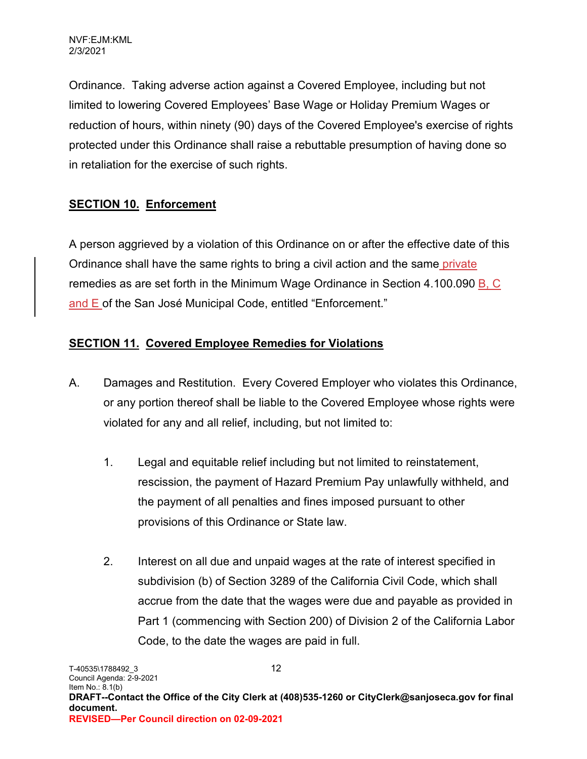Ordinance. Taking adverse action against a Covered Employee, including but not limited to lowering Covered Employees' Base Wage or Holiday Premium Wages or reduction of hours, within ninety (90) days of the Covered Employee's exercise of rights protected under this Ordinance shall raise a rebuttable presumption of having done so in retaliation for the exercise of such rights.

# **SECTION 10. Enforcement**

A person aggrieved by a violation of this Ordinance on or after the effective date of this Ordinance shall have the same rights to bring a civil action and the same private remedies as are set forth in the Minimum Wage Ordinance in Section 4.100.090 B, C and E of the San José Municipal Code, entitled "Enforcement."

## **SECTION 11. Covered Employee Remedies for Violations**

- A. Damages and Restitution. Every Covered Employer who violates this Ordinance, or any portion thereof shall be liable to the Covered Employee whose rights were violated for any and all relief, including, but not limited to:
	- 1. Legal and equitable relief including but not limited to reinstatement, rescission, the payment of Hazard Premium Pay unlawfully withheld, and the payment of all penalties and fines imposed pursuant to other provisions of this Ordinance or State law.
	- 2. Interest on all due and unpaid wages at the rate of interest specified in subdivision (b) of Section 3289 of the California Civil Code, which shall accrue from the date that the wages were due and payable as provided in Part 1 (commencing with Section 200) of Division 2 of the California Labor Code, to the date the wages are paid in full.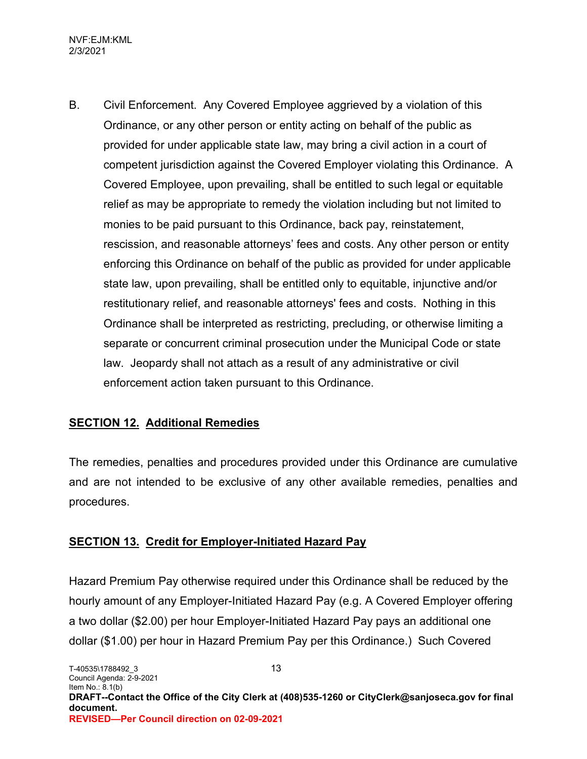B. Civil Enforcement. Any Covered Employee aggrieved by a violation of this Ordinance, or any other person or entity acting on behalf of the public as provided for under applicable state law, may bring a civil action in a court of competent jurisdiction against the Covered Employer violating this Ordinance. A Covered Employee, upon prevailing, shall be entitled to such legal or equitable relief as may be appropriate to remedy the violation including but not limited to monies to be paid pursuant to this Ordinance, back pay, reinstatement, rescission, and reasonable attorneys' fees and costs. Any other person or entity enforcing this Ordinance on behalf of the public as provided for under applicable state law, upon prevailing, shall be entitled only to equitable, injunctive and/or restitutionary relief, and reasonable attorneys' fees and costs. Nothing in this Ordinance shall be interpreted as restricting, precluding, or otherwise limiting a separate or concurrent criminal prosecution under the Municipal Code or state law. Jeopardy shall not attach as a result of any administrative or civil enforcement action taken pursuant to this Ordinance.

## **SECTION 12. Additional Remedies**

The remedies, penalties and procedures provided under this Ordinance are cumulative and are not intended to be exclusive of any other available remedies, penalties and procedures.

#### **SECTION 13. Credit for Employer-Initiated Hazard Pay**

Hazard Premium Pay otherwise required under this Ordinance shall be reduced by the hourly amount of any Employer-Initiated Hazard Pay (e.g. A Covered Employer offering a two dollar (\$2.00) per hour Employer-Initiated Hazard Pay pays an additional one dollar (\$1.00) per hour in Hazard Premium Pay per this Ordinance.) Such Covered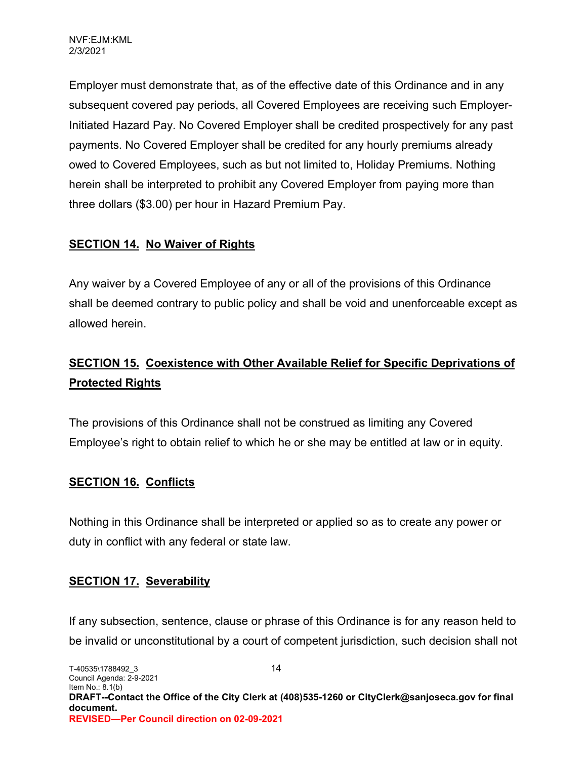Employer must demonstrate that, as of the effective date of this Ordinance and in any subsequent covered pay periods, all Covered Employees are receiving such Employer-Initiated Hazard Pay. No Covered Employer shall be credited prospectively for any past payments. No Covered Employer shall be credited for any hourly premiums already owed to Covered Employees, such as but not limited to, Holiday Premiums. Nothing herein shall be interpreted to prohibit any Covered Employer from paying more than three dollars (\$3.00) per hour in Hazard Premium Pay.

## **SECTION 14. No Waiver of Rights**

Any waiver by a Covered Employee of any or all of the provisions of this Ordinance shall be deemed contrary to public policy and shall be void and unenforceable except as allowed herein.

# **SECTION 15. Coexistence with Other Available Relief for Specific Deprivations of Protected Rights**

The provisions of this Ordinance shall not be construed as limiting any Covered Employee's right to obtain relief to which he or she may be entitled at law or in equity.

## **SECTION 16. Conflicts**

Nothing in this Ordinance shall be interpreted or applied so as to create any power or duty in conflict with any federal or state law.

## **SECTION 17. Severability**

If any subsection, sentence, clause or phrase of this Ordinance is for any reason held to be invalid or unconstitutional by a court of competent jurisdiction, such decision shall not